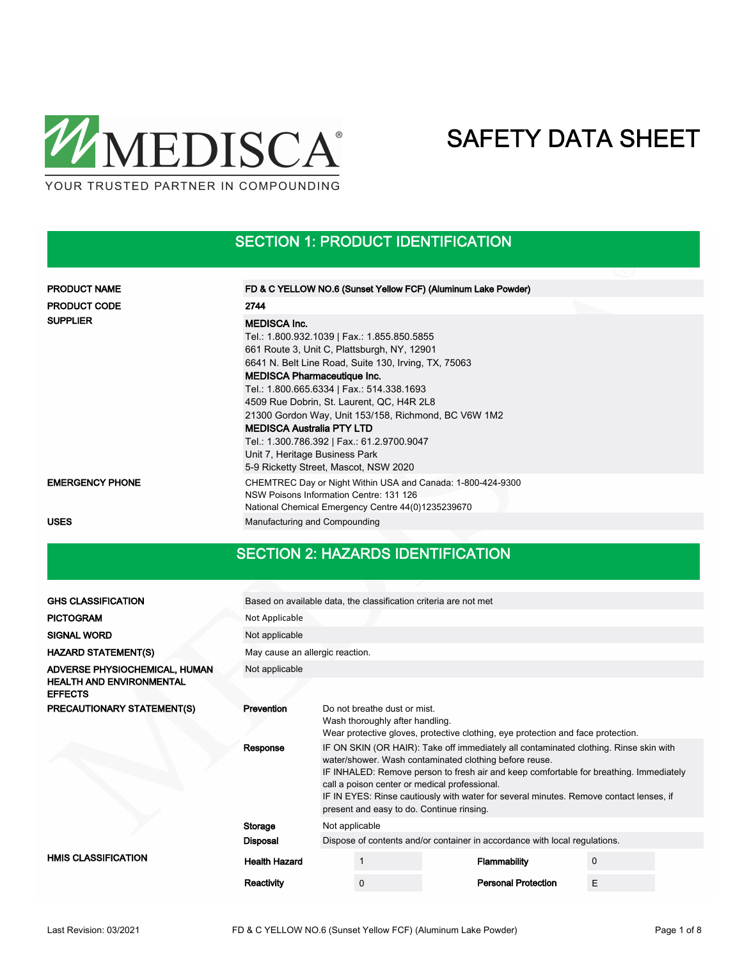

SECTION 1: PRODUCT IDENTIFICATION

| <b>PRODUCT NAME</b>    | FD & C YELLOW NO.6 (Sunset Yellow FCF) (Aluminum Lake Powder)                                                                                                                                                                                                                                               |  |  |  |  |
|------------------------|-------------------------------------------------------------------------------------------------------------------------------------------------------------------------------------------------------------------------------------------------------------------------------------------------------------|--|--|--|--|
| <b>PRODUCT CODE</b>    | 2744                                                                                                                                                                                                                                                                                                        |  |  |  |  |
| <b>SUPPLIER</b>        | <b>MEDISCA Inc.</b><br>Tel.: 1.800.932.1039   Fax.: 1.855.850.5855<br>661 Route 3, Unit C, Plattsburgh, NY, 12901<br>6641 N. Belt Line Road, Suite 130, Irving, TX, 75063<br><b>MEDISCA Pharmaceutique Inc.</b>                                                                                             |  |  |  |  |
|                        | Tel.: 1.800.665.6334   Fax.: 514.338.1693<br>4509 Rue Dobrin, St. Laurent, QC, H4R 2L8<br>21300 Gordon Way, Unit 153/158, Richmond, BC V6W 1M2<br><b>MEDISCA Australia PTY LTD</b><br>Tel.: 1.300.786.392   Fax.: 61.2.9700.9047<br>Unit 7, Heritage Business Park<br>5-9 Ricketty Street, Mascot, NSW 2020 |  |  |  |  |
| <b>EMERGENCY PHONE</b> | CHEMTREC Day or Night Within USA and Canada: 1-800-424-9300<br>NSW Poisons Information Centre: 131 126<br>National Chemical Emergency Centre 44(0)1235239670                                                                                                                                                |  |  |  |  |
| <b>USES</b>            | Manufacturing and Compounding                                                                                                                                                                                                                                                                               |  |  |  |  |

#### SECTION 2: HAZARDS IDENTIFICATION

| <b>GHS CLASSIFICATION</b>                                                          |                                 | Based on available data, the classification criteria are not met                                                                                                                                                                                                                                                                                                                                                                  |                                                                 |  |                                                                                  |             |  |  |
|------------------------------------------------------------------------------------|---------------------------------|-----------------------------------------------------------------------------------------------------------------------------------------------------------------------------------------------------------------------------------------------------------------------------------------------------------------------------------------------------------------------------------------------------------------------------------|-----------------------------------------------------------------|--|----------------------------------------------------------------------------------|-------------|--|--|
| <b>PICTOGRAM</b>                                                                   | Not Applicable                  |                                                                                                                                                                                                                                                                                                                                                                                                                                   |                                                                 |  |                                                                                  |             |  |  |
| <b>SIGNAL WORD</b>                                                                 | Not applicable                  |                                                                                                                                                                                                                                                                                                                                                                                                                                   |                                                                 |  |                                                                                  |             |  |  |
| <b>HAZARD STATEMENT(S)</b>                                                         | May cause an allergic reaction. |                                                                                                                                                                                                                                                                                                                                                                                                                                   |                                                                 |  |                                                                                  |             |  |  |
| ADVERSE PHYSIOCHEMICAL, HUMAN<br><b>HEALTH AND ENVIRONMENTAL</b><br><b>EFFECTS</b> | Not applicable                  |                                                                                                                                                                                                                                                                                                                                                                                                                                   |                                                                 |  |                                                                                  |             |  |  |
| PRECAUTIONARY STATEMENT(S)                                                         | Prevention                      |                                                                                                                                                                                                                                                                                                                                                                                                                                   | Do not breathe dust or mist.<br>Wash thoroughly after handling. |  | Wear protective gloves, protective clothing, eye protection and face protection. |             |  |  |
|                                                                                    | Response                        | IF ON SKIN (OR HAIR): Take off immediately all contaminated clothing. Rinse skin with<br>water/shower. Wash contaminated clothing before reuse.<br>IF INHALED: Remove person to fresh air and keep comfortable for breathing. Immediately<br>call a poison center or medical professional.<br>IF IN EYES: Rinse cautiously with water for several minutes. Remove contact lenses, if<br>present and easy to do. Continue rinsing. |                                                                 |  |                                                                                  |             |  |  |
|                                                                                    | Storage                         | Not applicable                                                                                                                                                                                                                                                                                                                                                                                                                    |                                                                 |  |                                                                                  |             |  |  |
|                                                                                    | <b>Disposal</b>                 |                                                                                                                                                                                                                                                                                                                                                                                                                                   |                                                                 |  | Dispose of contents and/or container in accordance with local regulations.       |             |  |  |
| <b>HMIS CLASSIFICATION</b>                                                         | <b>Health Hazard</b>            |                                                                                                                                                                                                                                                                                                                                                                                                                                   |                                                                 |  | Flammability                                                                     | $\mathbf 0$ |  |  |
|                                                                                    | Reactivity                      |                                                                                                                                                                                                                                                                                                                                                                                                                                   | $\Omega$                                                        |  | <b>Personal Protection</b>                                                       | E           |  |  |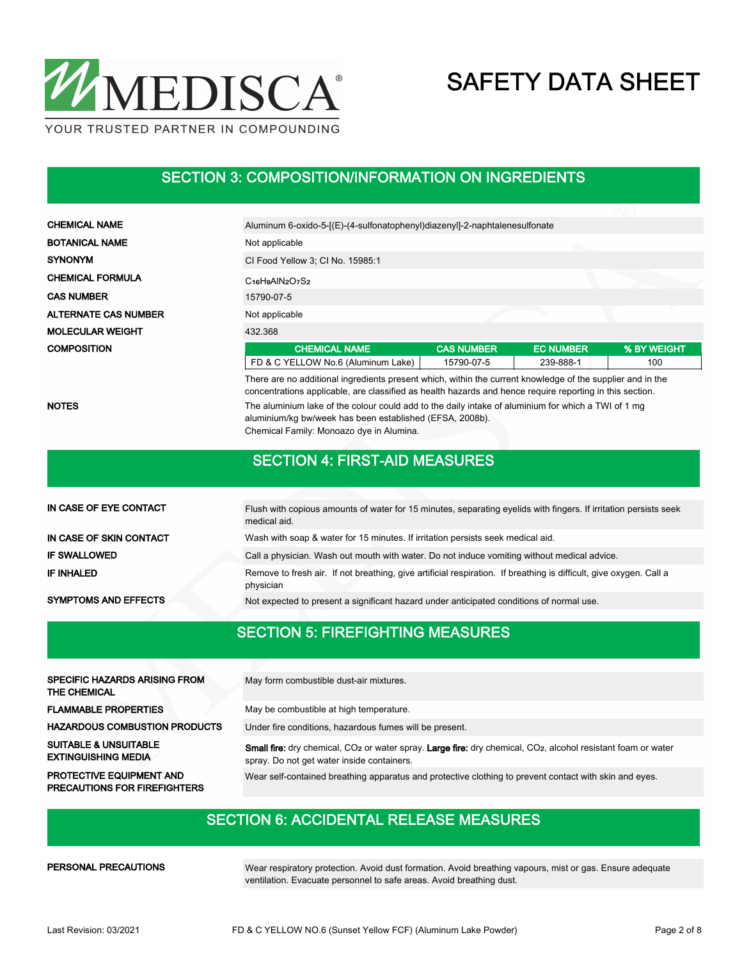

#### SECTION 3: COMPOSITION/INFORMATION ON INGREDIENTS

| <b>CHEMICAL NAME</b>        | Aluminum 6-oxido-5-[(E)-(4-sulfonatophenyl)diazenyl]-2-naphtalenesulfonate                                                                                                                                             |                   |                  |             |  |  |  |
|-----------------------------|------------------------------------------------------------------------------------------------------------------------------------------------------------------------------------------------------------------------|-------------------|------------------|-------------|--|--|--|
| <b>BOTANICAL NAME</b>       | Not applicable                                                                                                                                                                                                         |                   |                  |             |  |  |  |
| <b>SYNONYM</b>              | CI Food Yellow 3; CI No. 15985:1                                                                                                                                                                                       |                   |                  |             |  |  |  |
| <b>CHEMICAL FORMULA</b>     | $C16H9AlN2O7S2$                                                                                                                                                                                                        |                   |                  |             |  |  |  |
| <b>CAS NUMBER</b>           | 15790-07-5                                                                                                                                                                                                             |                   |                  |             |  |  |  |
| <b>ALTERNATE CAS NUMBER</b> | Not applicable                                                                                                                                                                                                         |                   |                  |             |  |  |  |
| <b>MOLECULAR WEIGHT</b>     | 432.368                                                                                                                                                                                                                |                   |                  |             |  |  |  |
| <b>COMPOSITION</b>          | <b>CHEMICAL NAME</b>                                                                                                                                                                                                   | <b>CAS NUMBER</b> | <b>EC NUMBER</b> | % BY WEIGHT |  |  |  |
|                             | FD & C YELLOW No.6 (Aluminum Lake)                                                                                                                                                                                     | 15790-07-5        | 239-888-1        | 100         |  |  |  |
|                             | There are no additional ingredients present which, within the current knowledge of the supplier and in the<br>concentrations applicable, are classified as health hazards and hence require reporting in this section. |                   |                  |             |  |  |  |
| <b>NOTES</b>                | The aluminium lake of the colour could add to the daily intake of aluminium for which a TWI of 1 mg<br>aluminium/kg bw/week has been established (EFSA, 2008b).<br>Chemical Family: Monoazo dye in Alumina.            |                   |                  |             |  |  |  |
|                             | <b>SECTION 4: FIRST-AID MEASURES</b>                                                                                                                                                                                   |                   |                  |             |  |  |  |
|                             |                                                                                                                                                                                                                        |                   |                  |             |  |  |  |
| IN CASE OF EYE CONTACT      | Flush with copious amounts of water for 15 minutes, separating eyelids with fingers. If irritation persists seek                                                                                                       |                   |                  |             |  |  |  |

|                             | medical aid.                                                                                                                    |
|-----------------------------|---------------------------------------------------------------------------------------------------------------------------------|
| IN CASE OF SKIN CONTACT     | Wash with soap & water for 15 minutes. If irritation persists seek medical aid.                                                 |
| <b>IF SWALLOWED</b>         | Call a physician. Wash out mouth with water. Do not induce vomiting without medical advice.                                     |
| IF INHALED                  | Remove to fresh air. If not breathing, give artificial respiration. If breathing is difficult, give oxygen. Call a<br>physician |
| <b>SYMPTOMS AND EFFECTS</b> | Not expected to present a significant hazard under anticipated conditions of normal use.                                        |

# SECTION 5: FIREFIGHTING MEASURES

| <b>SPECIFIC HAZARDS ARISING FROM</b><br>THE CHEMICAL                   | May form combustible dust-air mixtures.                                                                                                                                                    |
|------------------------------------------------------------------------|--------------------------------------------------------------------------------------------------------------------------------------------------------------------------------------------|
| <b>FLAMMABLE PROPERTIES</b>                                            | May be combustible at high temperature.                                                                                                                                                    |
| <b>HAZARDOUS COMBUSTION PRODUCTS</b>                                   | Under fire conditions, hazardous fumes will be present.                                                                                                                                    |
| <b>SUITABLE &amp; UNSUITABLE</b><br><b>EXTINGUISHING MEDIA</b>         | <b>Small fire:</b> dry chemical, CO <sub>2</sub> or water spray. Large fire: dry chemical, CO <sub>2</sub> , alcohol resistant foam or water<br>spray. Do not get water inside containers. |
| <b>PROTECTIVE EQUIPMENT AND</b><br><b>PRECAUTIONS FOR FIREFIGHTERS</b> | Wear self-contained breathing apparatus and protective clothing to prevent contact with skin and eyes.                                                                                     |

### SECTION 6: ACCIDENTAL RELEASE MEASURES

#### PERSONAL PRECAUTIONS

Wear respiratory protection. Avoid dust formation. Avoid breathing vapours, mist or gas. Ensure adequate ventilation. Evacuate personnel to safe areas. Avoid breathing dust.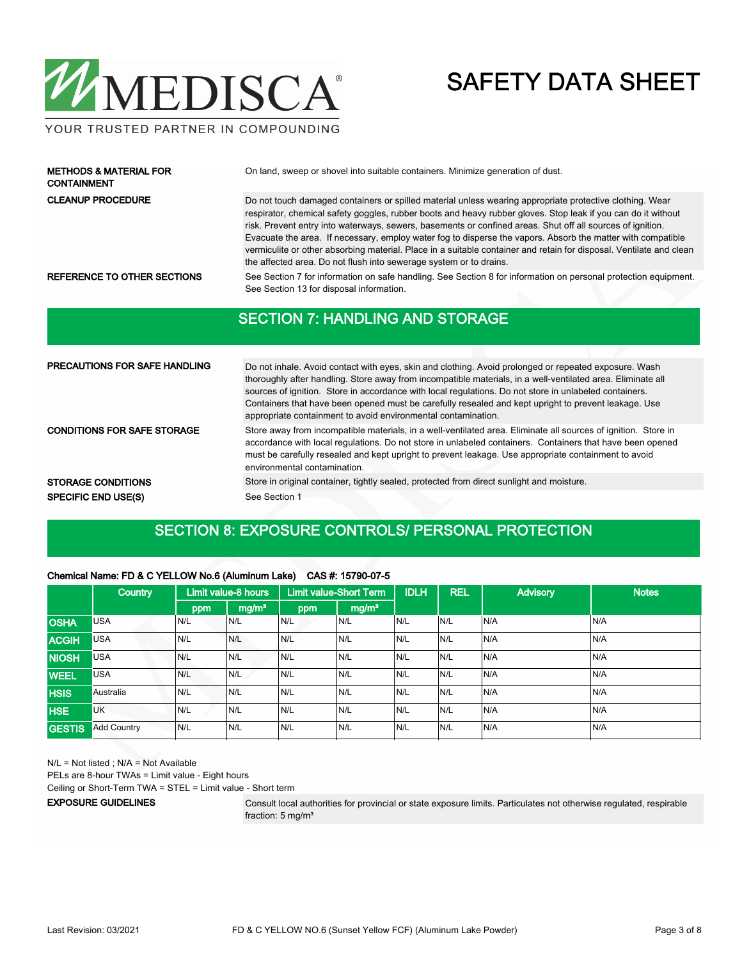

#### YOUR TRUSTED PARTNER IN COMPOUNDING

| <b>METHODS &amp; MATERIAL FOR</b><br><b>CONTAINMENT</b> | On land, sweep or shovel into suitable containers. Minimize generation of dust.                                                                                                                                                                                                                                                                                                                                                                                                                                                                                                                                                                     |
|---------------------------------------------------------|-----------------------------------------------------------------------------------------------------------------------------------------------------------------------------------------------------------------------------------------------------------------------------------------------------------------------------------------------------------------------------------------------------------------------------------------------------------------------------------------------------------------------------------------------------------------------------------------------------------------------------------------------------|
| <b>CLEANUP PROCEDURE</b>                                | Do not touch damaged containers or spilled material unless wearing appropriate protective clothing. Wear<br>respirator, chemical safety goggles, rubber boots and heavy rubber gloves. Stop leak if you can do it without<br>risk. Prevent entry into waterways, sewers, basements or confined areas. Shut off all sources of ignition.<br>Evacuate the area. If necessary, employ water fog to disperse the vapors. Absorb the matter with compatible<br>vermiculite or other absorbing material. Place in a suitable container and retain for disposal. Ventilate and clean<br>the affected area. Do not flush into sewerage system or to drains. |
| REFERENCE TO OTHER SECTIONS                             | See Section 7 for information on safe handling. See Section 8 for information on personal protection equipment.<br>See Section 13 for disposal information.                                                                                                                                                                                                                                                                                                                                                                                                                                                                                         |
|                                                         | <b>SECTION 7: HANDLING AND STORAGE</b>                                                                                                                                                                                                                                                                                                                                                                                                                                                                                                                                                                                                              |

| PRECAUTIONS FOR SAFE HANDLING      | Do not inhale. Avoid contact with eyes, skin and clothing. Avoid prolonged or repeated exposure. Wash<br>thoroughly after handling. Store away from incompatible materials, in a well-ventilated area. Eliminate all<br>sources of ignition. Store in accordance with local regulations. Do not store in unlabeled containers.<br>Containers that have been opened must be carefully resealed and kept upright to prevent leakage. Use<br>appropriate containment to avoid environmental contamination. |
|------------------------------------|---------------------------------------------------------------------------------------------------------------------------------------------------------------------------------------------------------------------------------------------------------------------------------------------------------------------------------------------------------------------------------------------------------------------------------------------------------------------------------------------------------|
| <b>CONDITIONS FOR SAFE STORAGE</b> | Store away from incompatible materials, in a well-ventilated area. Eliminate all sources of ignition. Store in<br>accordance with local regulations. Do not store in unlabeled containers. Containers that have been opened<br>must be carefully resealed and kept upright to prevent leakage. Use appropriate containment to avoid<br>environmental contamination.                                                                                                                                     |
| <b>STORAGE CONDITIONS</b>          | Store in original container, tightly sealed, protected from direct sunlight and moisture.                                                                                                                                                                                                                                                                                                                                                                                                               |
| <b>SPECIFIC END USE(S)</b>         | See Section 1                                                                                                                                                                                                                                                                                                                                                                                                                                                                                           |

#### SECTION 8: EXPOSURE CONTROLS/ PERSONAL PROTECTION

#### Chemical Name: FD & C YELLOW No.6 (Aluminum Lake) CAS #: 15790-07-5

|               | <b>Country</b>     | Limit value-8 hours |                   |     | <b>IDLH</b><br><b>Limit value-Short Term</b> |     | <b>REL</b> | <b>Advisory</b> | <b>Notes</b> |
|---------------|--------------------|---------------------|-------------------|-----|----------------------------------------------|-----|------------|-----------------|--------------|
|               |                    | ppm                 | mg/m <sup>3</sup> | ppm | mg/m <sup>3</sup>                            |     |            |                 |              |
| <b>OSHA</b>   | <b>USA</b>         | N/L                 | N/L               | N/L | N/L                                          | N/L | N/L        | N/A             | N/A          |
| <b>ACGIH</b>  | <b>USA</b>         | N/L                 | N/L               | N/L | N/L                                          | N/L | N/L        | N/A             | N/A          |
| <b>NIOSH</b>  | <b>USA</b>         | N/L                 | N/L               | N/L | N/L                                          | N/L | N/L        | N/A             | N/A          |
| <b>WEEL</b>   | <b>USA</b>         | N/L                 | N/L               | N/L | N/L                                          | N/L | N/L        | N/A             | N/A          |
| <b>HSIS</b>   | Australia          | N/L                 | N/L               | N/L | N/L                                          | N/L | N/L        | N/A             | N/A          |
| <b>HSE</b>    | UK                 | N/L                 | N/L               | N/L | N/L                                          | N/L | N/L        | N/A             | N/A          |
| <b>GESTIS</b> | <b>Add Country</b> | N/L                 | N/L               | N/L | N/L                                          | N/L | N/L        | N/A             | N/A          |

N/L = Not listed ; N/A = Not Available PELs are 8-hour TWAs = Limit value - Eight hours Ceiling or Short-Term TWA = STEL = Limit value - Short term EXPOSURE GUIDELINES

Consult local authorities for provincial or state exposure limits. Particulates not otherwise regulated, respirable fraction: 5 mg/m<sup>3</sup>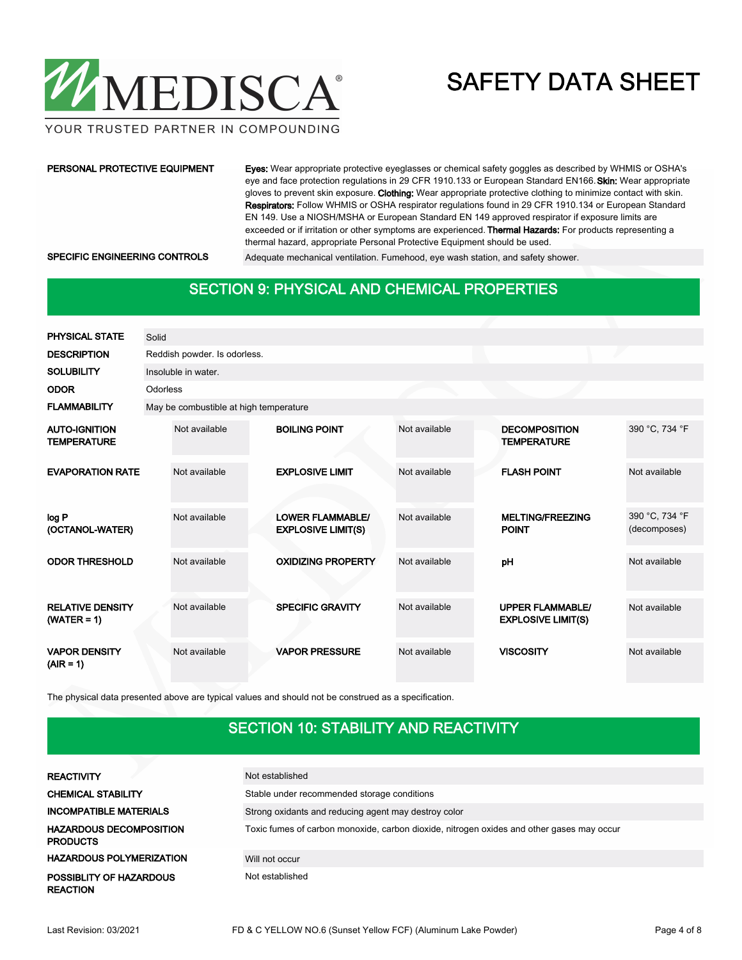

YOUR TRUSTED PARTNER IN COMPOUNDING

#### PERSONAL PROTECTIVE EQUIPMENT

Eyes: Wear appropriate protective eyeglasses or chemical safety goggles as described by WHMIS or OSHA's eye and face protection regulations in 29 CFR 1910.133 or European Standard EN166. Skin: Wear appropriate gloves to prevent skin exposure. Clothing: Wear appropriate protective clothing to minimize contact with skin. Respirators: Follow WHMIS or OSHA respirator regulations found in 29 CFR 1910.134 or European Standard EN 149. Use a NIOSH/MSHA or European Standard EN 149 approved respirator if exposure limits are exceeded or if irritation or other symptoms are experienced. Thermal Hazards: For products representing a thermal hazard, appropriate Personal Protective Equipment should be used.

SPECIFIC ENGINEERING CONTROLS Adequate mechanical ventilation. Fumehood, eye wash station, and safety shower.

### SECTION 9: PHYSICAL AND CHEMICAL PROPERTIES

| <b>PHYSICAL STATE</b>                      | Solid    |                                        |  |                                                      |               |  |                                                      |                                |  |  |
|--------------------------------------------|----------|----------------------------------------|--|------------------------------------------------------|---------------|--|------------------------------------------------------|--------------------------------|--|--|
| <b>DESCRIPTION</b>                         |          | Reddish powder. Is odorless.           |  |                                                      |               |  |                                                      |                                |  |  |
| <b>SOLUBILITY</b>                          |          | Insoluble in water.                    |  |                                                      |               |  |                                                      |                                |  |  |
| <b>ODOR</b>                                | Odorless |                                        |  |                                                      |               |  |                                                      |                                |  |  |
| <b>FLAMMABILITY</b>                        |          | May be combustible at high temperature |  |                                                      |               |  |                                                      |                                |  |  |
| <b>AUTO-IGNITION</b><br><b>TEMPERATURE</b> |          | Not available                          |  | <b>BOILING POINT</b>                                 | Not available |  | <b>DECOMPOSITION</b><br><b>TEMPERATURE</b>           | 390 °C, 734 °F                 |  |  |
| <b>EVAPORATION RATE</b>                    |          | Not available                          |  | <b>EXPLOSIVE LIMIT</b>                               | Not available |  | <b>FLASH POINT</b>                                   | Not available                  |  |  |
| log P<br>(OCTANOL-WATER)                   |          | Not available                          |  | <b>LOWER FLAMMABLE/</b><br><b>EXPLOSIVE LIMIT(S)</b> | Not available |  | <b>MELTING/FREEZING</b><br><b>POINT</b>              | 390 °C, 734 °F<br>(decomposes) |  |  |
| <b>ODOR THRESHOLD</b>                      |          | Not available                          |  | <b>OXIDIZING PROPERTY</b>                            | Not available |  | pH                                                   | Not available                  |  |  |
| <b>RELATIVE DENSITY</b><br>$(WATER = 1)$   |          | Not available                          |  | <b>SPECIFIC GRAVITY</b>                              | Not available |  | <b>UPPER FLAMMABLE/</b><br><b>EXPLOSIVE LIMIT(S)</b> | Not available                  |  |  |
| <b>VAPOR DENSITY</b><br>$(AIR = 1)$        |          | Not available                          |  | <b>VAPOR PRESSURE</b>                                | Not available |  | <b>VISCOSITY</b>                                     | Not available                  |  |  |

The physical data presented above are typical values and should not be construed as a specification.

### SECTION 10: STABILITY AND REACTIVITY

| <b>REACTIVITY</b>                                 | Not established                                                                           |
|---------------------------------------------------|-------------------------------------------------------------------------------------------|
| <b>CHEMICAL STABILITY</b>                         | Stable under recommended storage conditions                                               |
| <b>INCOMPATIBLE MATERIALS</b>                     | Strong oxidants and reducing agent may destroy color                                      |
| <b>HAZARDOUS DECOMPOSITION</b><br><b>PRODUCTS</b> | Toxic fumes of carbon monoxide, carbon dioxide, nitrogen oxides and other gases may occur |
| <b>HAZARDOUS POLYMERIZATION</b>                   | Will not occur                                                                            |
| POSSIBLITY OF HAZARDOUS<br><b>REACTION</b>        | Not established                                                                           |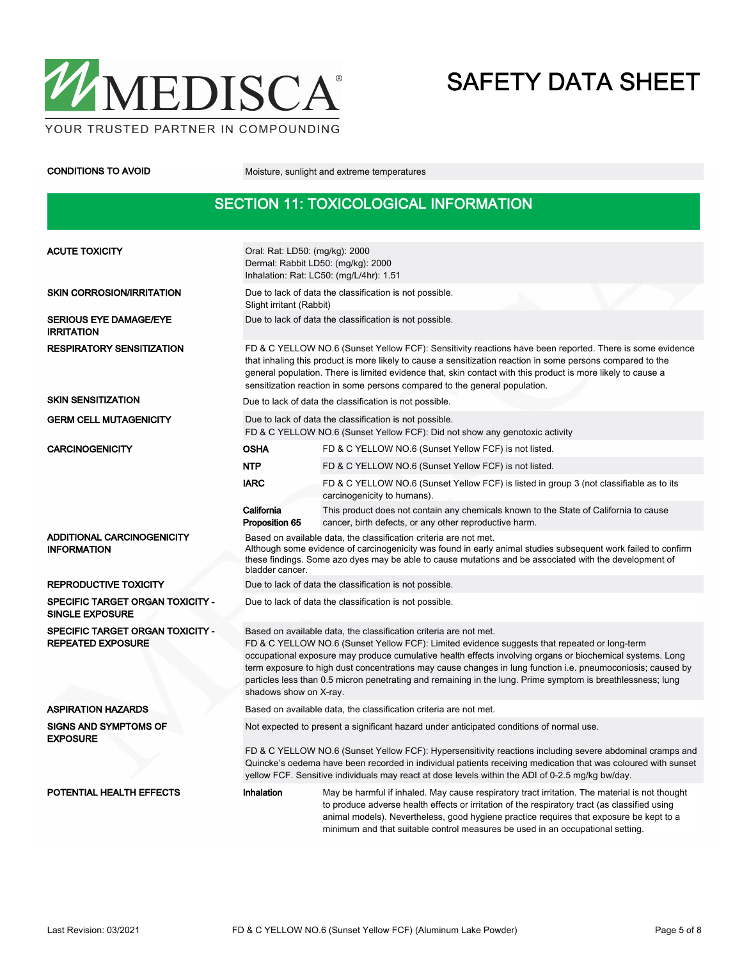

CONDITIONS TO AVOID Moisture, sunlight and extreme temperatures

### SECTION 11: TOXICOLOGICAL INFORMATION

| <b>ACUTE TOXICITY</b>                                        | Oral: Rat: LD50: (mg/kg): 2000<br>Dermal: Rabbit LD50: (mg/kg): 2000<br>Inhalation: Rat: LC50: (mg/L/4hr): 1.51                                                                                                                                                                                                                                                                                                                                                                                                                        |                                                                                                                                                                                                                                                                                                                                                                              |  |  |  |  |  |
|--------------------------------------------------------------|----------------------------------------------------------------------------------------------------------------------------------------------------------------------------------------------------------------------------------------------------------------------------------------------------------------------------------------------------------------------------------------------------------------------------------------------------------------------------------------------------------------------------------------|------------------------------------------------------------------------------------------------------------------------------------------------------------------------------------------------------------------------------------------------------------------------------------------------------------------------------------------------------------------------------|--|--|--|--|--|
| <b>SKIN CORROSION/IRRITATION</b>                             | Due to lack of data the classification is not possible.<br>Slight irritant (Rabbit)                                                                                                                                                                                                                                                                                                                                                                                                                                                    |                                                                                                                                                                                                                                                                                                                                                                              |  |  |  |  |  |
| <b>SERIOUS EYE DAMAGE/EYE</b><br><b>IRRITATION</b>           | Due to lack of data the classification is not possible.                                                                                                                                                                                                                                                                                                                                                                                                                                                                                |                                                                                                                                                                                                                                                                                                                                                                              |  |  |  |  |  |
| <b>RESPIRATORY SENSITIZATION</b>                             | FD & C YELLOW NO.6 (Sunset Yellow FCF): Sensitivity reactions have been reported. There is some evidence<br>that inhaling this product is more likely to cause a sensitization reaction in some persons compared to the<br>general population. There is limited evidence that, skin contact with this product is more likely to cause a<br>sensitization reaction in some persons compared to the general population.                                                                                                                  |                                                                                                                                                                                                                                                                                                                                                                              |  |  |  |  |  |
| <b>SKIN SENSITIZATION</b>                                    |                                                                                                                                                                                                                                                                                                                                                                                                                                                                                                                                        | Due to lack of data the classification is not possible.                                                                                                                                                                                                                                                                                                                      |  |  |  |  |  |
| <b>GERM CELL MUTAGENICITY</b>                                |                                                                                                                                                                                                                                                                                                                                                                                                                                                                                                                                        | Due to lack of data the classification is not possible.<br>FD & C YELLOW NO.6 (Sunset Yellow FCF): Did not show any genotoxic activity                                                                                                                                                                                                                                       |  |  |  |  |  |
| <b>CARCINOGENICITY</b>                                       | <b>OSHA</b>                                                                                                                                                                                                                                                                                                                                                                                                                                                                                                                            | FD & C YELLOW NO.6 (Sunset Yellow FCF) is not listed.                                                                                                                                                                                                                                                                                                                        |  |  |  |  |  |
|                                                              | <b>NTP</b>                                                                                                                                                                                                                                                                                                                                                                                                                                                                                                                             | FD & C YELLOW NO.6 (Sunset Yellow FCF) is not listed.                                                                                                                                                                                                                                                                                                                        |  |  |  |  |  |
|                                                              | <b>IARC</b>                                                                                                                                                                                                                                                                                                                                                                                                                                                                                                                            | FD & C YELLOW NO.6 (Sunset Yellow FCF) is listed in group 3 (not classifiable as to its<br>carcinogenicity to humans).                                                                                                                                                                                                                                                       |  |  |  |  |  |
|                                                              | California<br>Proposition 65                                                                                                                                                                                                                                                                                                                                                                                                                                                                                                           | This product does not contain any chemicals known to the State of California to cause<br>cancer, birth defects, or any other reproductive harm.                                                                                                                                                                                                                              |  |  |  |  |  |
| ADDITIONAL CARCINOGENICITY<br><b>INFORMATION</b>             | Based on available data, the classification criteria are not met.<br>Although some evidence of carcinogenicity was found in early animal studies subsequent work failed to confirm<br>these findings. Some azo dyes may be able to cause mutations and be associated with the development of<br>bladder cancer.                                                                                                                                                                                                                        |                                                                                                                                                                                                                                                                                                                                                                              |  |  |  |  |  |
| <b>REPRODUCTIVE TOXICITY</b>                                 | Due to lack of data the classification is not possible.                                                                                                                                                                                                                                                                                                                                                                                                                                                                                |                                                                                                                                                                                                                                                                                                                                                                              |  |  |  |  |  |
| SPECIFIC TARGET ORGAN TOXICITY -<br><b>SINGLE EXPOSURE</b>   | Due to lack of data the classification is not possible.                                                                                                                                                                                                                                                                                                                                                                                                                                                                                |                                                                                                                                                                                                                                                                                                                                                                              |  |  |  |  |  |
| SPECIFIC TARGET ORGAN TOXICITY -<br><b>REPEATED EXPOSURE</b> | Based on available data, the classification criteria are not met.<br>FD & C YELLOW NO.6 (Sunset Yellow FCF): Limited evidence suggests that repeated or long-term<br>occupational exposure may produce cumulative health effects involving organs or biochemical systems. Long<br>term exposure to high dust concentrations may cause changes in lung function i.e. pneumoconiosis; caused by<br>particles less than 0.5 micron penetrating and remaining in the lung. Prime symptom is breathlessness; lung<br>shadows show on X-ray. |                                                                                                                                                                                                                                                                                                                                                                              |  |  |  |  |  |
| <b>ASPIRATION HAZARDS</b>                                    |                                                                                                                                                                                                                                                                                                                                                                                                                                                                                                                                        | Based on available data, the classification criteria are not met.                                                                                                                                                                                                                                                                                                            |  |  |  |  |  |
| <b>SIGNS AND SYMPTOMS OF</b><br><b>EXPOSURE</b>              | Not expected to present a significant hazard under anticipated conditions of normal use.                                                                                                                                                                                                                                                                                                                                                                                                                                               |                                                                                                                                                                                                                                                                                                                                                                              |  |  |  |  |  |
|                                                              | FD & C YELLOW NO.6 (Sunset Yellow FCF): Hypersensitivity reactions including severe abdominal cramps and<br>Quincke's oedema have been recorded in individual patients receiving medication that was coloured with sunset<br>yellow FCF. Sensitive individuals may react at dose levels within the ADI of 0-2.5 mg/kg bw/day.                                                                                                                                                                                                          |                                                                                                                                                                                                                                                                                                                                                                              |  |  |  |  |  |
| <b>POTENTIAL HEALTH EFFECTS</b>                              | Inhalation                                                                                                                                                                                                                                                                                                                                                                                                                                                                                                                             | May be harmful if inhaled. May cause respiratory tract irritation. The material is not thought<br>to produce adverse health effects or irritation of the respiratory tract (as classified using<br>animal models). Nevertheless, good hygiene practice requires that exposure be kept to a<br>minimum and that suitable control measures be used in an occupational setting. |  |  |  |  |  |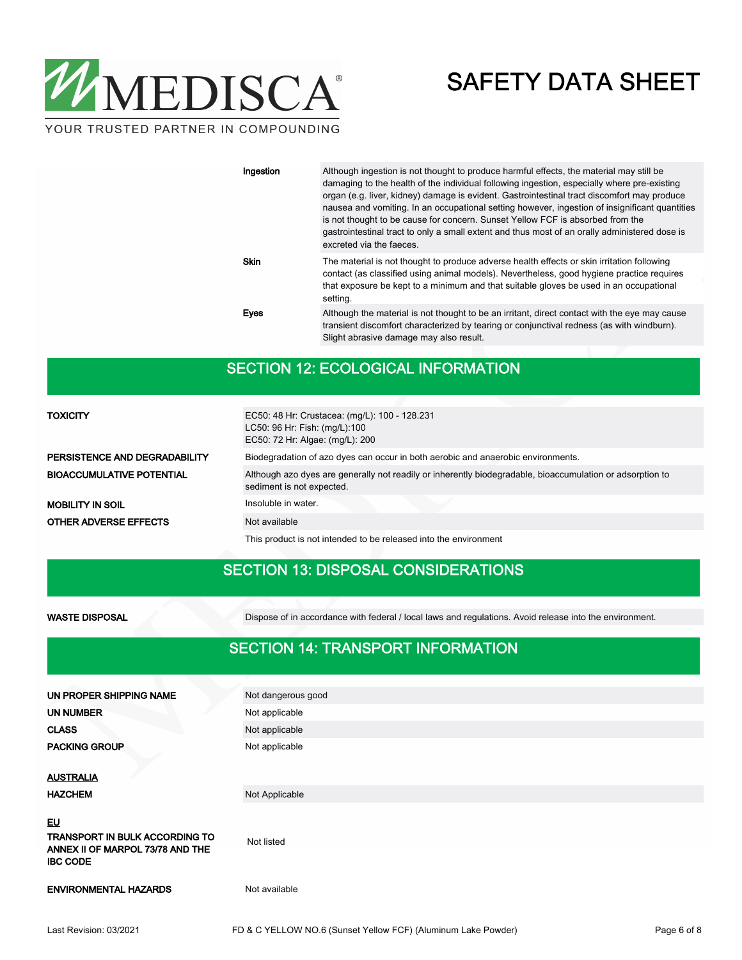

| Ingestion   | Although ingestion is not thought to produce harmful effects, the material may still be<br>damaging to the health of the individual following ingestion, especially where pre-existing<br>organ (e.g. liver, kidney) damage is evident. Gastrointestinal tract discomfort may produce<br>nausea and vomiting. In an occupational setting however, ingestion of insignificant quantities<br>is not thought to be cause for concern. Sunset Yellow FCF is absorbed from the<br>gastrointestinal tract to only a small extent and thus most of an orally administered dose is<br>excreted via the faeces. |
|-------------|--------------------------------------------------------------------------------------------------------------------------------------------------------------------------------------------------------------------------------------------------------------------------------------------------------------------------------------------------------------------------------------------------------------------------------------------------------------------------------------------------------------------------------------------------------------------------------------------------------|
| <b>Skin</b> | The material is not thought to produce adverse health effects or skin irritation following<br>contact (as classified using animal models). Nevertheless, good hygiene practice requires<br>that exposure be kept to a minimum and that suitable gloves be used in an occupational<br>setting.                                                                                                                                                                                                                                                                                                          |
| Eyes        | Although the material is not thought to be an irritant, direct contact with the eye may cause<br>transient discomfort characterized by tearing or conjunctival redness (as with windburn).<br>Slight abrasive damage may also result.                                                                                                                                                                                                                                                                                                                                                                  |

### SECTION 12: ECOLOGICAL INFORMATION

| <b>TOXICITY</b>                  | EC50: 48 Hr: Crustacea: (mg/L): 100 - 128.231<br>LC50: 96 Hr: Fish: (mg/L):100<br>EC50: 72 Hr: Algae: (mg/L): 200                      |
|----------------------------------|----------------------------------------------------------------------------------------------------------------------------------------|
| PERSISTENCE AND DEGRADABILITY    | Biodegradation of azo dyes can occur in both aerobic and anaerobic environments.                                                       |
| <b>BIOACCUMULATIVE POTENTIAL</b> | Although azo dyes are generally not readily or inherently biodegradable, bioaccumulation or adsorption to<br>sediment is not expected. |
| <b>MOBILITY IN SOIL</b>          | Insoluble in water.                                                                                                                    |
| OTHER ADVERSE EFFECTS            | Not available                                                                                                                          |
|                                  | This product is not intended to be released into the environment                                                                       |

### SECTION 13: DISPOSAL CONSIDERATIONS

WASTE DISPOSAL Dispose of in accordance with federal / local laws and regulations. Avoid release into the environment.

#### SECTION 14: TRANSPORT INFORMATION

| UN PROPER SHIPPING NAME                             | Not dangerous good |
|-----------------------------------------------------|--------------------|
| <b>UN NUMBER</b>                                    | Not applicable     |
| <b>CLASS</b>                                        | Not applicable     |
| <b>PACKING GROUP</b>                                | Not applicable     |
| <b>AUSTRALIA</b>                                    |                    |
| <b>HAZCHEM</b>                                      | Not Applicable     |
| <u>EU</u><br>TRANSPORT IN BULK ACCORDING TO         | Not listed         |
| ANNEX II OF MARPOL 73/78 AND THE<br><b>IBC CODE</b> |                    |
| <b>ENVIRONMENTAL HAZARDS</b>                        | Not available      |
|                                                     |                    |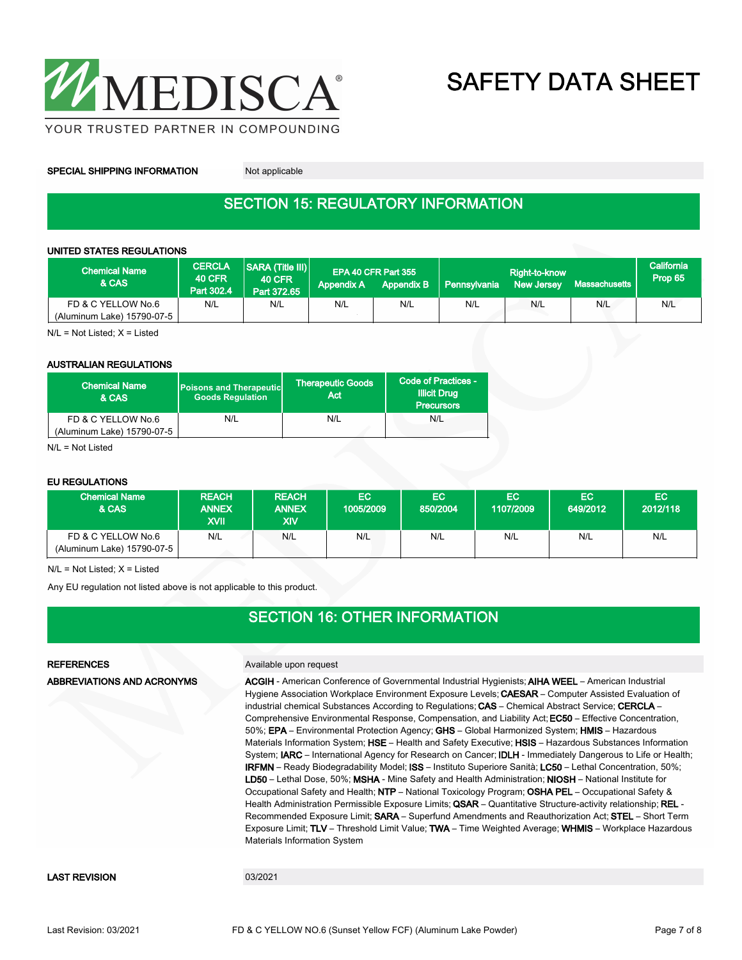

SPECIAL SHIPPING INFORMATION Not applicable

## SECTION 15: REGULATORY INFORMATION

#### UNITED STATES REGULATIONS

| <b>Chemical Name</b><br>& CAS                    | <b>CERCLA</b><br><b>40 CFR</b><br>Part 302.4 | SARA (Title III)<br><b>40 CFR</b><br>Part 372.65 | <b>Appendix A</b> | EPA 40 CFR Part 355<br><b>Appendix B</b> | <b>Pennsylvania</b> | Right-to-know<br><b>New Jersey</b> | Massachusetts | California<br>Prop 65 |
|--------------------------------------------------|----------------------------------------------|--------------------------------------------------|-------------------|------------------------------------------|---------------------|------------------------------------|---------------|-----------------------|
| FD & C YELLOW No.6<br>(Aluminum Lake) 15790-07-5 | N/L                                          | N/L                                              | N/L               | N/L                                      | N/L                 | N/L                                | N/L           | N/L                   |

 $N/L = Not$  Listed;  $X =$  Listed

#### AUSTRALIAN REGULATIONS

| <b>Chemical Name</b><br>& CAS | <b>Poisons and Therapeutic</b><br><b>Goods Requlation</b> | <b>Therapeutic Goods</b><br>Act | Code of Practices -<br><b>Illicit Drug</b><br><b>Precursors</b> |  |
|-------------------------------|-----------------------------------------------------------|---------------------------------|-----------------------------------------------------------------|--|
| FD & C YELLOW No.6            | N/L                                                       | N/L                             | N/L                                                             |  |
| (Aluminum Lake) 15790-07-5    |                                                           |                                 |                                                                 |  |

N/L = Not Listed

#### EU REGULATIONS

| <b>Chemical Name</b><br>& CAS                    | <b>REACH</b><br><b>ANNEX</b><br>XVII | <b>REACH</b><br><b>ANNEX</b><br>XIV | <b>EC</b><br>1005/2009 | EC.<br>850/2004 | EC.<br>1107/2009 | EC.<br>649/2012 | EC.<br>2012/118 |
|--------------------------------------------------|--------------------------------------|-------------------------------------|------------------------|-----------------|------------------|-----------------|-----------------|
| FD & C YELLOW No.6<br>(Aluminum Lake) 15790-07-5 | N/L                                  | N/L                                 | N/L                    | N/L             | N/L              | N/L             | N/L             |

 $N/L$  = Not Listed;  $X =$  Listed

Any EU regulation not listed above is not applicable to this product.

### SECTION 16: OTHER INFORMATION

#### REFERENCES Available upon request ACGIH - American Conference of Governmental Industrial Hygienists; AIHA WEEL – American Industrial Hygiene Association Workplace Environment Exposure Levels; CAESAR – Computer Assisted Evaluation of industrial chemical Substances According to Regulations; CAS - Chemical Abstract Service; CERCLA -Comprehensive Environmental Response, Compensation, and Liability Act; EC50 – Effective Concentration, 50%; EPA – Environmental Protection Agency; GHS – Global Harmonized System; HMIS – Hazardous Materials Information System; HSE – Health and Safety Executive; HSIS – Hazardous Substances Information System; IARC – International Agency for Research on Cancer; IDLH - Immediately Dangerous to Life or Health; IRFMN – Ready Biodegradability Model; ISS – Instituto Superiore Sanità; LC50 – Lethal Concentration, 50%; LD50 – Lethal Dose, 50%; MSHA - Mine Safety and Health Administration; NIOSH – National Institute for Occupational Safety and Health; NTP – National Toxicology Program; OSHA PEL – Occupational Safety & Health Administration Permissible Exposure Limits; QSAR - Quantitative Structure-activity relationship; REL -Recommended Exposure Limit; SARA – Superfund Amendments and Reauthorization Act; STEL – Short Term Exposure Limit; TLV – Threshold Limit Value; TWA – Time Weighted Average; WHMIS – Workplace Hazardous Materials Information System ABBREVIATIONS AND ACRONYMS LAST REVISION 03/2021